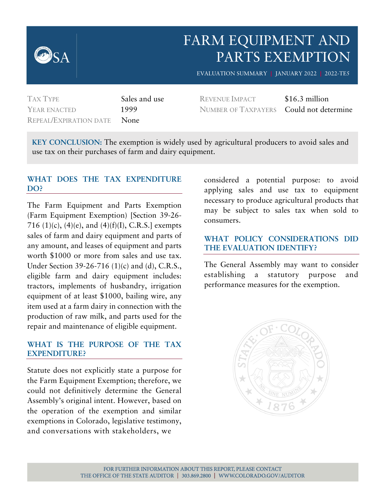

# FARM EQUIPMENT AND PARTS EXEMPTION

EVALUATION SUMMARY **|** JANUARY 2022 **|** 2022-TE5

| <b>TAX TYPE</b>                    | Sales and use |
|------------------------------------|---------------|
| YEAR ENACTED                       | 1999          |
| <b>REPEAL/EXPIRATION DATE None</b> |               |

REVENUE IMPACT \$16.3 million NUMBER OF TAXPAYERS Could not determine

**KEY CONCLUSION:** The exemption is widely used by agricultural producers to avoid sales and use tax on their purchases of farm and dairy equipment.

#### **WHAT DOES THE TAX EXPENDITURE DO?**

The Farm Equipment and Parts Exemption (Farm Equipment Exemption) [Section 39-26- 716 (1)(c), (4)(e), and (4)(f)(I), C.R.S.] exempts sales of farm and dairy equipment and parts of any amount, and leases of equipment and parts worth \$1000 or more from sales and use tax. Under Section 39-26-716 (1)(c) and (d), C.R.S., eligible farm and dairy equipment includes: tractors, implements of husbandry, irrigation equipment of at least \$1000, bailing wire, any item used at a farm dairy in connection with the production of raw milk, and parts used for the repair and maintenance of eligible equipment.

#### **WHAT IS THE PURPOSE OF THE TAX EXPENDITURE?**

Statute does not explicitly state a purpose for the Farm Equipment Exemption; therefore, we could not definitively determine the General Assembly's original intent. However, based on the operation of the exemption and similar exemptions in Colorado, legislative testimony, and conversations with stakeholders, we

considered a potential purpose: to avoid applying sales and use tax to equipment necessary to produce agricultural products that may be subject to sales tax when sold to consumers.

#### **WHAT POLICY CONSIDERATIONS DID THE EVALUATION IDENTIFY?**

The General Assembly may want to consider establishing a statutory purpose and performance measures for the exemption.

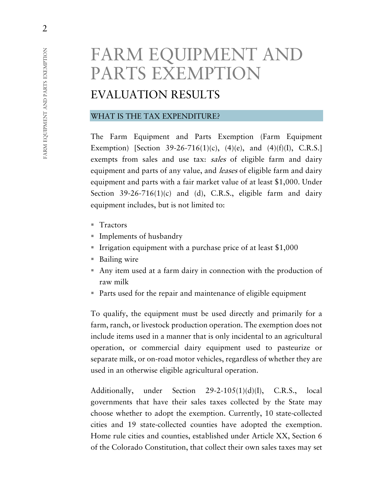# FARM EQUIPMENT AND PARTS EXEMPTION

# EVALUATION RESULTS

#### WHAT IS THE TAX EXPENDITURE?

The Farm Equipment and Parts Exemption (Farm Equipment Exemption) [Section 39-26-716(1)(c), (4)(e), and (4)(f)(I), C.R.S.] exempts from sales and use tax: sales of eligible farm and dairy equipment and parts of any value, and *leases* of eligible farm and dairy equipment and parts with a fair market value of at least \$1,000. Under Section  $39-26-716(1)(c)$  and (d), C.R.S., eligible farm and dairy equipment includes, but is not limited to:

- $\blacksquare$  Tractors
- Implements of husbandry
- Irrigation equipment with a purchase price of at least  $$1,000$
- Bailing wire
- Any item used at a farm dairy in connection with the production of raw milk
- Parts used for the repair and maintenance of eligible equipment

To qualify, the equipment must be used directly and primarily for a farm, ranch, or livestock production operation. The exemption does not include items used in a manner that is only incidental to an agricultural operation, or commercial dairy equipment used to pasteurize or separate milk, or on-road motor vehicles, regardless of whether they are used in an otherwise eligible agricultural operation.

Additionally, under Section 29-2-105(1)(d)(I), C.R.S., local governments that have their sales taxes collected by the State may choose whether to adopt the exemption. Currently, 10 state-collected cities and 19 state-collected counties have adopted the exemption. Home rule cities and counties, established under Article XX, Section 6 of the Colorado Constitution, that collect their own sales taxes may set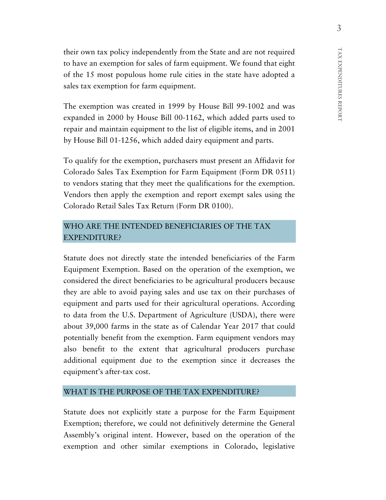their own tax policy independently from the State and are not required to have an exemption for sales of farm equipment. We found that eight of the 15 most populous home rule cities in the state have adopted a sales tax exemption for farm equipment.

The exemption was created in 1999 by House Bill 99-1002 and was expanded in 2000 by House Bill 00-1162, which added parts used to repair and maintain equipment to the list of eligible items, and in 2001 by House Bill 01-1256, which added dairy equipment and parts.

To qualify for the exemption, purchasers must present an Affidavit for Colorado Sales Tax Exemption for Farm Equipment (Form DR 0511) to vendors stating that they meet the qualifications for the exemption. Vendors then apply the exemption and report exempt sales using the Colorado Retail Sales Tax Return (Form DR 0100).

#### WHO ARE THE INTENDED BENEFICIARIES OF THE TAX EXPENDITURE?

Statute does not directly state the intended beneficiaries of the Farm Equipment Exemption. Based on the operation of the exemption, we considered the direct beneficiaries to be agricultural producers because they are able to avoid paying sales and use tax on their purchases of equipment and parts used for their agricultural operations. According to data from the U.S. Department of Agriculture (USDA), there were about 39,000 farms in the state as of Calendar Year 2017 that could potentially benefit from the exemption. Farm equipment vendors may also benefit to the extent that agricultural producers purchase additional equipment due to the exemption since it decreases the equipment's after-tax cost.

#### WHAT IS THE PURPOSE OF THE TAX EXPENDITURE?

Statute does not explicitly state a purpose for the Farm Equipment Exemption; therefore, we could not definitively determine the General Assembly's original intent. However, based on the operation of the exemption and other similar exemptions in Colorado, legislative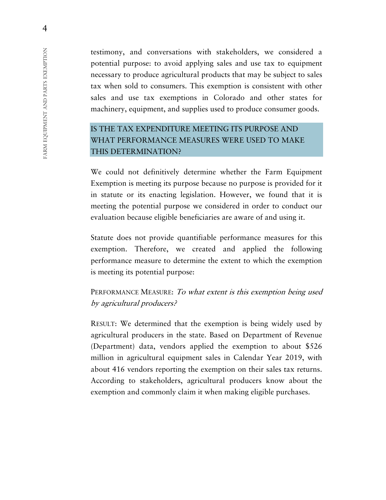testimony, and conversations with stakeholders, we considered a potential purpose: to avoid applying sales and use tax to equipment necessary to produce agricultural products that may be subject to sales tax when sold to consumers. This exemption is consistent with other sales and use tax exemptions in Colorado and other states for machinery, equipment, and supplies used to produce consumer goods.

# IS THE TAX EXPENDITURE MEETING ITS PURPOSE AND WHAT PERFORMANCE MEASURES WERE USED TO MAKE THIS DETERMINATION?

We could not definitively determine whether the Farm Equipment Exemption is meeting its purpose because no purpose is provided for it in statute or its enacting legislation. However, we found that it is meeting the potential purpose we considered in order to conduct our evaluation because eligible beneficiaries are aware of and using it.

Statute does not provide quantifiable performance measures for this exemption. Therefore, we created and applied the following performance measure to determine the extent to which the exemption is meeting its potential purpose:

# PERFORMANCE MEASURE: To what extent is this exemption being used by agricultural producers?

RESULT: We determined that the exemption is being widely used by agricultural producers in the state. Based on Department of Revenue (Department) data, vendors applied the exemption to about \$526 million in agricultural equipment sales in Calendar Year 2019, with about 416 vendors reporting the exemption on their sales tax returns. According to stakeholders, agricultural producers know about the exemption and commonly claim it when making eligible purchases.

4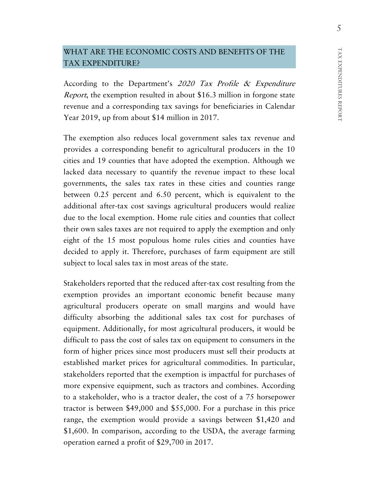## WHAT ARE THE ECONOMIC COSTS AND BENEFITS OF THE TAX EXPENDITURE?

According to the Department's 2020 Tax Profile & Expenditure Report, the exemption resulted in about \$16.3 million in forgone state revenue and a corresponding tax savings for beneficiaries in Calendar Year 2019, up from about \$14 million in 2017.

The exemption also reduces local government sales tax revenue and provides a corresponding benefit to agricultural producers in the 10 cities and 19 counties that have adopted the exemption. Although we lacked data necessary to quantify the revenue impact to these local governments, the sales tax rates in these cities and counties range between 0.25 percent and 6.50 percent, which is equivalent to the additional after-tax cost savings agricultural producers would realize due to the local exemption. Home rule cities and counties that collect their own sales taxes are not required to apply the exemption and only eight of the 15 most populous home rules cities and counties have decided to apply it. Therefore, purchases of farm equipment are still subject to local sales tax in most areas of the state.

Stakeholders reported that the reduced after-tax cost resulting from the exemption provides an important economic benefit because many agricultural producers operate on small margins and would have difficulty absorbing the additional sales tax cost for purchases of equipment. Additionally, for most agricultural producers, it would be difficult to pass the cost of sales tax on equipment to consumers in the form of higher prices since most producers must sell their products at established market prices for agricultural commodities. In particular, stakeholders reported that the exemption is impactful for purchases of more expensive equipment, such as tractors and combines. According to a stakeholder, who is a tractor dealer, the cost of a 75 horsepower tractor is between \$49,000 and \$55,000. For a purchase in this price range, the exemption would provide a savings between \$1,420 and \$1,600. In comparison, according to the USDA, the average farming operation earned a profit of \$29,700 in 2017.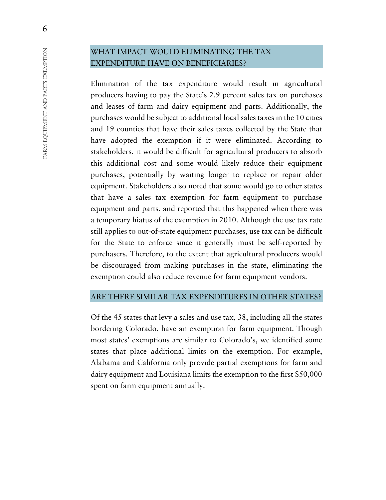## WHAT IMPACT WOULD ELIMINATING THE TAX EXPENDITURE HAVE ON BENEFICIARIES?

Elimination of the tax expenditure would result in agricultural producers having to pay the State's 2.9 percent sales tax on purchases and leases of farm and dairy equipment and parts. Additionally, the purchases would be subject to additional local sales taxes in the 10 cities and 19 counties that have their sales taxes collected by the State that have adopted the exemption if it were eliminated. According to stakeholders, it would be difficult for agricultural producers to absorb this additional cost and some would likely reduce their equipment purchases, potentially by waiting longer to replace or repair older equipment. Stakeholders also noted that some would go to other states that have a sales tax exemption for farm equipment to purchase equipment and parts, and reported that this happened when there was a temporary hiatus of the exemption in 2010. Although the use tax rate still applies to out-of-state equipment purchases, use tax can be difficult for the State to enforce since it generally must be self-reported by purchasers. Therefore, to the extent that agricultural producers would be discouraged from making purchases in the state, eliminating the exemption could also reduce revenue for farm equipment vendors.

#### ARE THERE SIMILAR TAX EXPENDITURES IN OTHER STATES?

Of the 45 states that levy a sales and use tax, 38, including all the states bordering Colorado, have an exemption for farm equipment. Though most states' exemptions are similar to Colorado's, we identified some states that place additional limits on the exemption. For example, Alabama and California only provide partial exemptions for farm and dairy equipment and Louisiana limits the exemption to the first \$50,000 spent on farm equipment annually.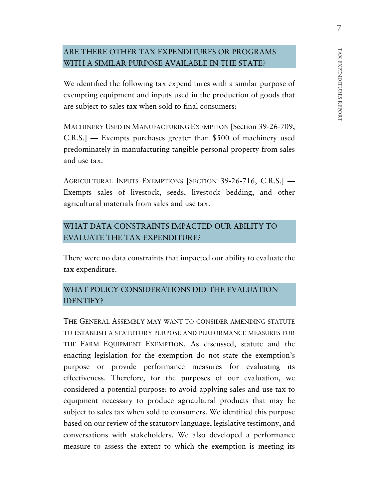## ARE THERE OTHER TAX EXPENDITURES OR PROGRAMS WITH A SIMILAR PURPOSE AVAILABLE IN THE STATE?

We identified the following tax expenditures with a similar purpose of exempting equipment and inputs used in the production of goods that are subject to sales tax when sold to final consumers:

MACHINERY USED IN MANUFACTURING EXEMPTION [Section 39-26-709, C.R.S.] — Exempts purchases greater than \$500 of machinery used predominately in manufacturing tangible personal property from sales and use tax.

AGRICULTURAL INPUTS EXEMPTIONS [SECTION 39-26-716, C.R.S.] — Exempts sales of livestock, seeds, livestock bedding, and other agricultural materials from sales and use tax.

# WHAT DATA CONSTRAINTS IMPACTED OUR ABILITY TO EVALUATE THE TAX EXPENDITURE?

There were no data constraints that impacted our ability to evaluate the tax expenditure.

# WHAT POLICY CONSIDERATIONS DID THE EVALUATION IDENTIFY?

THE GENERAL ASSEMBLY MAY WANT TO CONSIDER AMENDING STATUTE TO ESTABLISH A STATUTORY PURPOSE AND PERFORMANCE MEASURES FOR THE FARM EQUIPMENT EXEMPTION. As discussed, statute and the enacting legislation for the exemption do not state the exemption's purpose or provide performance measures for evaluating its effectiveness. Therefore, for the purposes of our evaluation, we considered a potential purpose: to avoid applying sales and use tax to equipment necessary to produce agricultural products that may be subject to sales tax when sold to consumers. We identified this purpose based on our review of the statutory language, legislative testimony, and conversations with stakeholders. We also developed a performance measure to assess the extent to which the exemption is meeting its